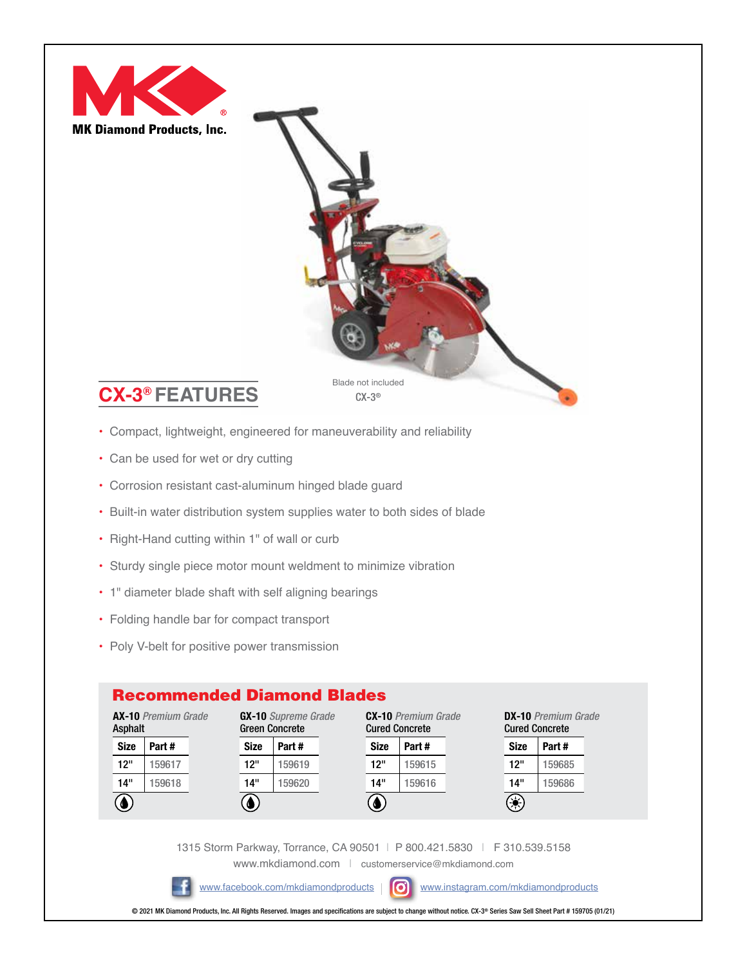

- Compact, lightweight, engineered for maneuverability and reliability
- Can be used for wet or dry cutting
- Corrosion resistant cast-aluminum hinged blade guard
- Built-in water distribution system supplies water to both sides of blade
- Right-Hand cutting within 1" of wall or curb
- Sturdy single piece motor mount weldment to minimize vibration
- 1" diameter blade shaft with self aligning bearings
- Folding handle bar for compact transport
- Poly V-belt for positive power transmission

## Recommended Diamond Blades



1315 Storm Parkway, Torrance, CA 90501 | P 800.421.5830 | F 310.539.5158 [www.mkdiamond.com](http://www.mkdiamond.com/) | [customerservice@mkdiamond.com](mailto:customerservice%40mkdiamond.com%20?subject=) 

[www.facebook.com/mkdiamondproducts](https://www.facebook.com/mkdiamondproducts) |  $\bigcirc$  [www.instagram.com/mkdiamondproducts](https://www.instagram.com/mkdiamondproducts/?hl=en)

© 2021 MK Diamond Products, Inc. All Rights Reserved. Images and specifications are subject to change without notice. CX-3® Series Saw Sell Sheet Part # 159705 (01/21)